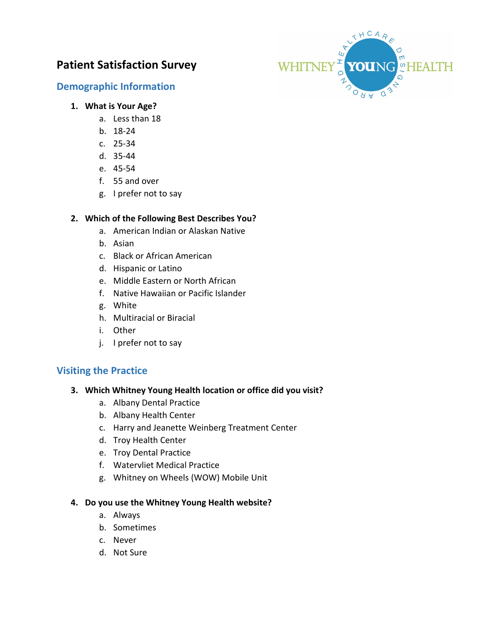# **Patient Satisfaction Survey**

# **Demographic Information**



### **1. What is Your Age?**

- a. Less than 18
- b. 18-24
- c. 25-34
- d. 35-44
- e. 45-54
- f. 55 and over
- g. I prefer not to say

### **2. Which of the Following Best Describes You?**

- a. American Indian or Alaskan Native
- b. Asian
- c. Black or African American
- d. Hispanic or Latino
- e. Middle Eastern or North African
- f. Native Hawaiian or Pacific Islander
- g. White
- h. Multiracial or Biracial
- i. Other
- j. I prefer not to say

# **Visiting the Practice**

### **3. Which Whitney Young Health location or office did you visit?**

- a. Albany Dental Practice
- b. Albany Health Center
- c. Harry and Jeanette Weinberg Treatment Center
- d. Troy Health Center
- e. Troy Dental Practice
- f. Watervliet Medical Practice
- g. Whitney on Wheels (WOW) Mobile Unit

### **4. Do you use the Whitney Young Health website?**

- a. Always
- b. Sometimes
- c. Never
- d. Not Sure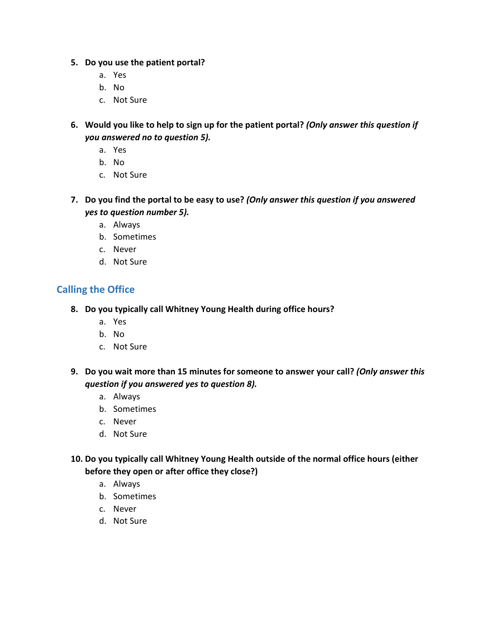### **5. Do you use the patient portal?**

- a. Yes
- b. No
- c. Not Sure
- **6. Would you like to help to sign up for the patient portal?** *(Only answer this question if you answered no to question 5).* 
	- a. Yes
	- b. No
	- c. Not Sure
- **7. Do you find the portal to be easy to use?** *(Only answer this question if you answered yes to question number 5).* 
	- a. Always
	- b. Sometimes
	- c. Never
	- d. Not Sure

# **Calling the Office**

- **8. Do you typically call Whitney Young Health during office hours?** 
	- a. Yes
	- b. No
	- c. Not Sure
- **9. Do you wait more than 15 minutes for someone to answer your call?** *(Only answer this question if you answered yes to question 8).*
	- a. Always
	- b. Sometimes
	- c. Never
	- d. Not Sure
- **10. Do you typically call Whitney Young Health outside of the normal office hours (either before they open or after office they close?)**
	- a. Always
	- b. Sometimes
	- c. Never
	- d. Not Sure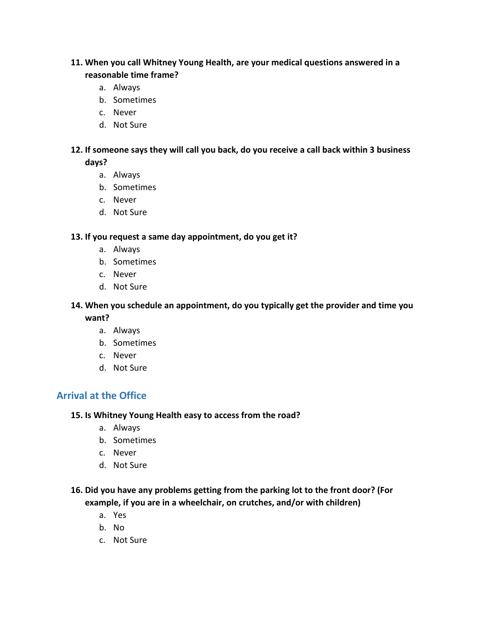### **11. When you call Whitney Young Health, are your medical questions answered in a reasonable time frame?**

- a. Always
- b. Sometimes
- c. Never
- d. Not Sure

### **12. If someone says they will call you back, do you receive a call back within 3 business days?**

- a. Always
- b. Sometimes
- c. Never
- d. Not Sure

### **13. If you request a same day appointment, do you get it?**

- a. Always
- b. Sometimes
- c. Never
- d. Not Sure

### **14. When you schedule an appointment, do you typically get the provider and time you**

**want?**

- a. Always
- b. Sometimes
- c. Never
- d. Not Sure

# **Arrival at the Office**

### **15. Is Whitney Young Health easy to access from the road?**

- a. Always
- b. Sometimes
- c. Never
- d. Not Sure

### **16. Did you have any problems getting from the parking lot to the front door? (For example, if you are in a wheelchair, on crutches, and/or with children)**

- a. Yes
- b. No
- c. Not Sure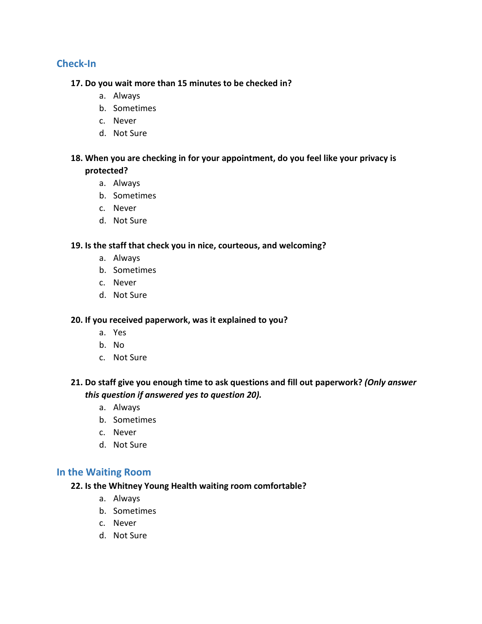# **Check-In**

#### **17. Do you wait more than 15 minutes to be checked in?**

- a. Always
- b. Sometimes
- c. Never
- d. Not Sure

### **18. When you are checking in for your appointment, do you feel like your privacy is protected?**

- a. Always
- b. Sometimes
- c. Never
- d. Not Sure

### **19. Is the staff that check you in nice, courteous, and welcoming?**

- a. Always
- b. Sometimes
- c. Never
- d. Not Sure

### **20. If you received paperwork, was it explained to you?**

- a. Yes
- b. No
- c. Not Sure

# **21. Do staff give you enough time to ask questions and fill out paperwork?** *(Only answer this question if answered yes to question 20).*

- a. Always
- b. Sometimes
- c. Never
- d. Not Sure

### **In the Waiting Room**

### **22. Is the Whitney Young Health waiting room comfortable?**

- a. Always
- b. Sometimes
- c. Never
- d. Not Sure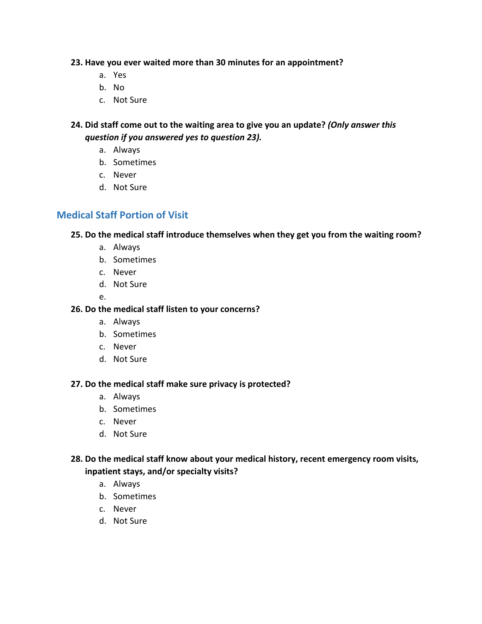### **23. Have you ever waited more than 30 minutes for an appointment?**

- a. Yes
- b. No
- c. Not Sure

### **24. Did staff come out to the waiting area to give you an update?** *(Only answer this question if you answered yes to question 23).*

- a. Always
- b. Sometimes
- c. Never
- d. Not Sure

# **Medical Staff Portion of Visit**

### **25. Do the medical staff introduce themselves when they get you from the waiting room?**

- a. Always
- b. Sometimes
- c. Never
- d. Not Sure
- e.

### **26. Do the medical staff listen to your concerns?**

- a. Always
- b. Sometimes
- c. Never
- d. Not Sure

### **27. Do the medical staff make sure privacy is protected?**

- a. Always
- b. Sometimes
- c. Never
- d. Not Sure

# **28. Do the medical staff know about your medical history, recent emergency room visits, inpatient stays, and/or specialty visits?**

- a. Always
- b. Sometimes
- c. Never
- d. Not Sure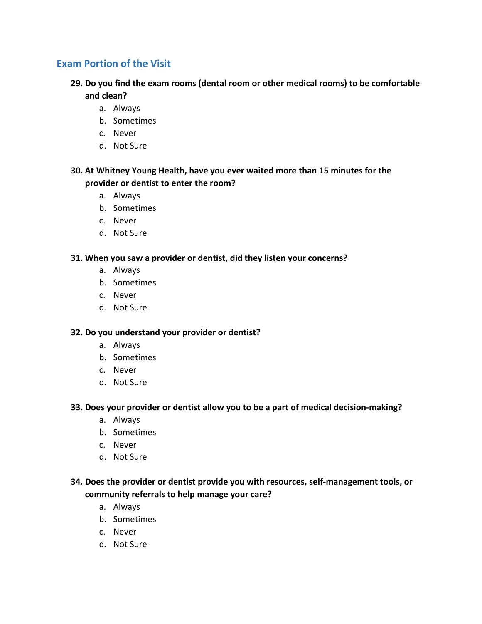# **Exam Portion of the Visit**

- **29. Do you find the exam rooms (dental room or other medical rooms) to be comfortable and clean?**
	- a. Always
	- b. Sometimes
	- c. Never
	- d. Not Sure

### **30. At Whitney Young Health, have you ever waited more than 15 minutes for the provider or dentist to enter the room?**

- a. Always
- b. Sometimes
- c. Never
- d. Not Sure

### **31. When you saw a provider or dentist, did they listen your concerns?**

- a. Always
- b. Sometimes
- c. Never
- d. Not Sure

### **32. Do you understand your provider or dentist?**

- a. Always
- b. Sometimes
- c. Never
- d. Not Sure

### **33. Does your provider or dentist allow you to be a part of medical decision-making?**

- a. Always
- b. Sometimes
- c. Never
- d. Not Sure

### **34. Does the provider or dentist provide you with resources, self-management tools, or community referrals to help manage your care?**

- a. Always
- b. Sometimes
- c. Never
- d. Not Sure